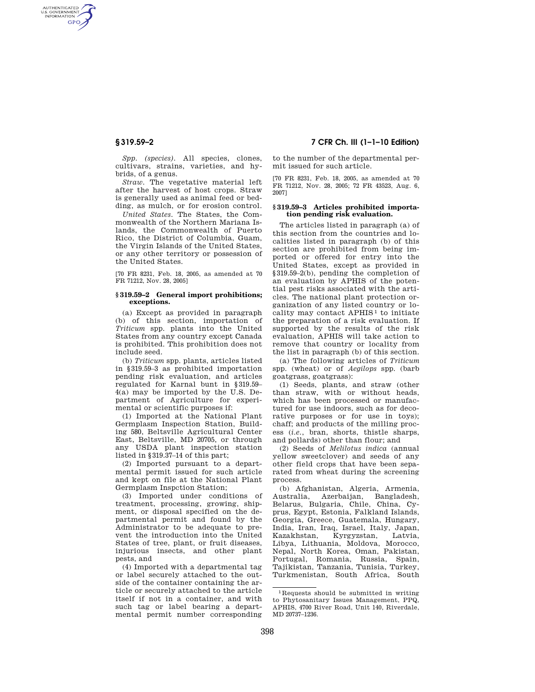AUTHENTICATED<br>U.S. GOVERNMENT<br>INFORMATION **GPO** 

> *Spp. (species).* All species, clones, cultivars, strains, varieties, and hybrids, of a genus.

> *Straw.* The vegetative material left after the harvest of host crops. Straw is generally used as animal feed or bedding, as mulch, or for erosion control.

> *United States.* The States, the Commonwealth of the Northern Mariana Islands, the Commonwealth of Puerto Rico, the District of Columbia, Guam, the Virgin Islands of the United States, or any other territory or possession of the United States.

> [70 FR 8231, Feb. 18, 2005, as amended at 70 FR 71212, Nov. 28, 2005]

# **§ 319.59–2 General import prohibitions; exceptions.**

(a) Except as provided in paragraph (b) of this section, importation of *Triticum* spp. plants into the United States from any country except Canada is prohibited. This prohibition does not include seed.

(b) *Triticum* spp. plants, articles listed in §319.59–3 as prohibited importation pending risk evaluation, and articles regulated for Karnal bunt in §319.59– 4(a) may be imported by the U.S. Department of Agriculture for experimental or scientific purposes if:

(1) Imported at the National Plant Germplasm Inspection Station, Building 580, Beltsville Agricultural Center East, Beltsville, MD 20705, or through any USDA plant inspection station listed in §319.37–14 of this part;

(2) Imported pursuant to a departmental permit issued for such article and kept on file at the National Plant Germplasm Inspction Station;

(3) Imported under conditions of treatment, processing, growing, shipment, or disposal specified on the departmental permit and found by the Administrator to be adequate to prevent the introduction into the United States of tree, plant, or fruit diseases, injurious insects, and other plant pests, and

(4) Imported with a departmental tag or label securely attached to the outside of the container containing the article or securely attached to the article itself if not in a container, and with such tag or label bearing a departmental permit number corresponding

**§ 319.59–2 7 CFR Ch. III (1–1–10 Edition)** 

to the number of the departmental permit issued for such article.

[70 FR 8231, Feb. 18, 2005, as amended at 70 FR 71212, Nov. 28, 2005; 72 FR 43523, Aug. 6, 2007]

### **§ 319.59–3 Articles prohibited importation pending risk evaluation.**

The articles listed in paragraph (a) of this section from the countries and localities listed in paragraph (b) of this section are prohibited from being imported or offered for entry into the United States, except as provided in §319.59–2(b), pending the completion of an evaluation by APHIS of the potential pest risks associated with the articles. The national plant protection organization of any listed country or locality may contact APHIS<sup>1</sup> to initiate the preparation of a risk evaluation. If supported by the results of the risk evaluation, APHIS will take action to remove that country or locality from the list in paragraph (b) of this section.

(a) The following articles of *Triticum*  spp. (wheat) or of *Aegilops* spp. (barb goatgrass, goatgrass):

(1) Seeds, plants, and straw (other than straw, with or without heads, which has been processed or manufactured for use indoors, such as for decorative purposes or for use in toys); chaff; and products of the milling process (*i.e.*, bran, shorts, thistle sharps, and pollards) other than flour; and

(2) Seeds of *Melilotus indica* (annual yellow sweetclover) and seeds of any other field crops that have been separated from wheat during the screening process.

(b) Afghanistan, Algeria, Armenia, Australia, Azerbaijan, Bangladesh, Belarus, Bulgaria, Chile, China, Cyprus, Egypt, Estonia, Falkland Islands, Georgia, Greece, Guatemala, Hungary, India, Iran, Iraq, Israel, Italy, Japan, Kyrgyzstan, Libya, Lithuania, Moldova, Morocco, Nepal, North Korea, Oman, Pakistan, Portugal, Romania, Russia, Spain, Tajikistan, Tanzania, Tunisia, Turkey, Turkmenistan, South Africa, South

<sup>1</sup> Requests should be submitted in writing to Phytosanitary Issues Management, PPQ, APHIS, 4700 River Road, Unit 140, Riverdale, MD 20737–1236.